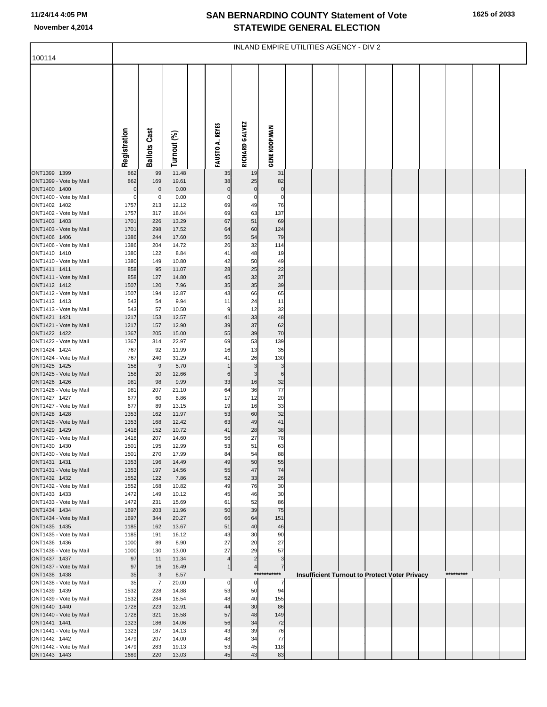## **SAN BERNARDINO COUNTY Statement of Vote November 4,2014 STATEWIDE GENERAL ELECTION**

| 100114                                 | INLAND EMPIRE UTILITIES AGENCY - DIV 2 |                     |                |  |                        |                       |                               |  |  |  |  |                                               |  |           |  |
|----------------------------------------|----------------------------------------|---------------------|----------------|--|------------------------|-----------------------|-------------------------------|--|--|--|--|-----------------------------------------------|--|-----------|--|
|                                        |                                        |                     |                |  |                        |                       |                               |  |  |  |  |                                               |  |           |  |
|                                        | Registration                           | <b>Ballots Cast</b> | Turnout (%)    |  | <b>FAUSTO A. REYES</b> | <b>RICHARD GALVEZ</b> | <b>GENE KOOPMAN</b>           |  |  |  |  |                                               |  |           |  |
| ONT1399 1399<br>ONT1399 - Vote by Mail | 862<br>862                             | 99<br>169           | 11.48<br>19.61 |  | 35<br>38               | 19<br>25              | 31<br>82                      |  |  |  |  |                                               |  |           |  |
| ONT1400 1400                           | $\mathbf 0$                            | $\mathbf 0$         | 0.00           |  | $\pmb{0}$              | $\pmb{0}$             | $\pmb{0}$                     |  |  |  |  |                                               |  |           |  |
| ONT1400 - Vote by Mail<br>ONT1402 1402 | $\mathbf 0$<br>1757                    | $\mathbf 0$<br>213  | 0.00<br>12.12  |  | 0<br>69                | 0<br>49               | $\mathbf 0$<br>76             |  |  |  |  |                                               |  |           |  |
| ONT1402 - Vote by Mail                 | 1757                                   | 317                 | 18.04          |  | 69                     | 63                    | 137                           |  |  |  |  |                                               |  |           |  |
| ONT1403 1403                           | 1701                                   | 226                 | 13.29          |  | 67                     | 51                    | 69                            |  |  |  |  |                                               |  |           |  |
| ONT1403 - Vote by Mail<br>ONT1406 1406 | 1701<br>1386                           | 298<br>244          | 17.52<br>17.60 |  | 64<br>56               | 60<br>54              | 124<br>79                     |  |  |  |  |                                               |  |           |  |
| ONT1406 - Vote by Mail                 | 1386                                   | 204                 | 14.72          |  | 26                     | 32                    | 114                           |  |  |  |  |                                               |  |           |  |
| ONT1410 1410                           | 1380                                   | 122                 | 8.84           |  | 41                     | 48                    | 19                            |  |  |  |  |                                               |  |           |  |
| ONT1410 - Vote by Mail<br>ONT1411 1411 | 1380<br>858                            | 149<br>95           | 10.80<br>11.07 |  | 42<br>28               | 50<br>25              | 49<br>22                      |  |  |  |  |                                               |  |           |  |
| ONT1411 - Vote by Mail                 | 858                                    | 127                 | 14.80          |  | 45                     | 32                    | 37                            |  |  |  |  |                                               |  |           |  |
| ONT1412 1412                           | 1507                                   | 120                 | 7.96           |  | 35                     | 35                    | 39                            |  |  |  |  |                                               |  |           |  |
| ONT1412 - Vote by Mail<br>ONT1413 1413 | 1507<br>543                            | 194<br>54           | 12.87<br>9.94  |  | 43<br>11               | 66<br>24              | 65<br>11                      |  |  |  |  |                                               |  |           |  |
| ONT1413 - Vote by Mail                 | 543                                    | 57                  | 10.50          |  | 9                      | 12                    | 32                            |  |  |  |  |                                               |  |           |  |
| ONT1421 1421<br>ONT1421 - Vote by Mail | 1217                                   | 153<br>157          | 12.57<br>12.90 |  | 41<br>39               | 33<br>37              | 48<br>62                      |  |  |  |  |                                               |  |           |  |
| ONT1422 1422                           | 1217<br>1367                           | 205                 | 15.00          |  | 55                     | 39                    | 70                            |  |  |  |  |                                               |  |           |  |
| ONT1422 - Vote by Mail                 | 1367                                   | 314                 | 22.97          |  | 69                     | 53                    | 139                           |  |  |  |  |                                               |  |           |  |
| ONT1424 1424<br>ONT1424 - Vote by Mail | 767<br>767                             | 92<br>240           | 11.99<br>31.29 |  | 16<br>41               | 13<br>26              | 35<br>130                     |  |  |  |  |                                               |  |           |  |
| ONT1425 1425                           | 158                                    | 9                   | 5.70           |  | 1                      | $\mathsf 3$           | $\mathsf 3$                   |  |  |  |  |                                               |  |           |  |
| ONT1425 - Vote by Mail                 | 158                                    | 20                  | 12.66          |  | 6                      | 3                     | 6                             |  |  |  |  |                                               |  |           |  |
| ONT1426 1426<br>ONT1426 - Vote by Mail | 981<br>981                             | 98<br>207           | 9.99<br>21.10  |  | 33<br>64               | 16<br>36              | 32<br>77                      |  |  |  |  |                                               |  |           |  |
| ONT1427 1427                           | 677                                    | 60                  | 8.86           |  | 17                     | 12                    | 20                            |  |  |  |  |                                               |  |           |  |
| ONT1427 - Vote by Mail                 | 677                                    | 89                  | 13.15          |  | 19                     | 16                    | 33                            |  |  |  |  |                                               |  |           |  |
| ONT1428 1428<br>ONT1428 - Vote by Mail | 1353<br>1353                           | 162<br>168          | 11.97<br>12.42 |  | 53<br>63               | 60<br>49              | 32<br>41                      |  |  |  |  |                                               |  |           |  |
| ONT1429 1429                           | 1418                                   | 152                 | 10.72          |  | 41                     | 28                    | 38                            |  |  |  |  |                                               |  |           |  |
| ONT1429 - Vote by Mail                 | 1418                                   | 207                 | 14.60          |  | 56                     | 27                    | 78                            |  |  |  |  |                                               |  |           |  |
| ONT1430 1430<br>ONT1430 - Vote by Mail | 1501<br>1501                           | 195<br>270          | 12.99<br>17.99 |  | 53<br>84               | 51<br>54              | 63<br>88                      |  |  |  |  |                                               |  |           |  |
| ONT1431 1431                           | 1353                                   | 196                 | 14.49          |  | 49                     | 50                    | 55                            |  |  |  |  |                                               |  |           |  |
| ONT1431 - Vote by Mail<br>ONT1432 1432 | 1353<br>1552                           | 197<br>122          | 14.56<br>7.86  |  | 55<br>52               | 47<br>33              | 74<br>26                      |  |  |  |  |                                               |  |           |  |
| ONT1432 - Vote by Mail                 | 1552                                   | 168                 | 10.82          |  | 49                     | 76                    | 30                            |  |  |  |  |                                               |  |           |  |
| ONT1433 1433                           | 1472                                   | 149                 | 10.12          |  | 45                     | 46                    | 30                            |  |  |  |  |                                               |  |           |  |
| ONT1433 - Vote by Mail<br>ONT1434 1434 | 1472<br>1697                           | 231<br>203          | 15.69<br>11.96 |  | 61<br>50               | 52<br>39              | 86<br>75                      |  |  |  |  |                                               |  |           |  |
| ONT1434 - Vote by Mail                 | 1697                                   | 344                 | 20.27          |  | 66                     | 64                    | 151                           |  |  |  |  |                                               |  |           |  |
| ONT1435 1435                           | 1185                                   | 162                 | 13.67          |  | 51                     | 40                    | 46                            |  |  |  |  |                                               |  |           |  |
| ONT1435 - Vote by Mail<br>ONT1436 1436 | 1185<br>1000                           | 191<br>89           | 16.12<br>8.90  |  | 43<br>27               | 30<br>20              | 90<br>27                      |  |  |  |  |                                               |  |           |  |
| ONT1436 - Vote by Mail                 | 1000                                   | 130                 | 13.00          |  | 27                     | 29                    | 57                            |  |  |  |  |                                               |  |           |  |
| ONT1437 1437                           | 97                                     | 11                  | 11.34          |  | 4                      | $\overline{c}$        | $\mathbf{3}$                  |  |  |  |  |                                               |  |           |  |
| ONT1437 - Vote by Mail<br>ONT1438 1438 | 97<br>35                               | 16<br>3             | 16.49<br>8.57  |  | 1                      | 4                     | $\overline{7}$<br>*********** |  |  |  |  | Insufficient Turnout to Protect Voter Privacy |  | ********* |  |
| ONT1438 - Vote by Mail                 | 35                                     | 7                   | 20.00          |  | 0                      | $\mathbf 0$           | 7                             |  |  |  |  |                                               |  |           |  |
| ONT1439 1439<br>ONT1439 - Vote by Mail | 1532<br>1532                           | 228<br>284          | 14.88<br>18.54 |  | 53<br>48               | 50<br>40              | 94<br>155                     |  |  |  |  |                                               |  |           |  |
| ONT1440 1440                           | 1728                                   | 223                 | 12.91          |  | 44                     | 30                    | 86                            |  |  |  |  |                                               |  |           |  |
| ONT1440 - Vote by Mail                 | 1728                                   | 321                 | 18.58          |  | 57                     | 48                    | 149                           |  |  |  |  |                                               |  |           |  |
| ONT1441 1441<br>ONT1441 - Vote by Mail | 1323<br>1323                           | 186<br>187          | 14.06<br>14.13 |  | 56<br>43               | 34<br>39              | 72<br>76                      |  |  |  |  |                                               |  |           |  |
| ONT1442 1442                           | 1479                                   | 207                 | 14.00          |  | 48                     | 34                    | 77                            |  |  |  |  |                                               |  |           |  |
| ONT1442 - Vote by Mail                 | 1479                                   | 283                 | 19.13          |  | 53                     | 45                    | 118                           |  |  |  |  |                                               |  |           |  |
| ONT1443 1443                           | 1689                                   | 220                 | 13.03          |  | 45                     | 43                    | 83                            |  |  |  |  |                                               |  |           |  |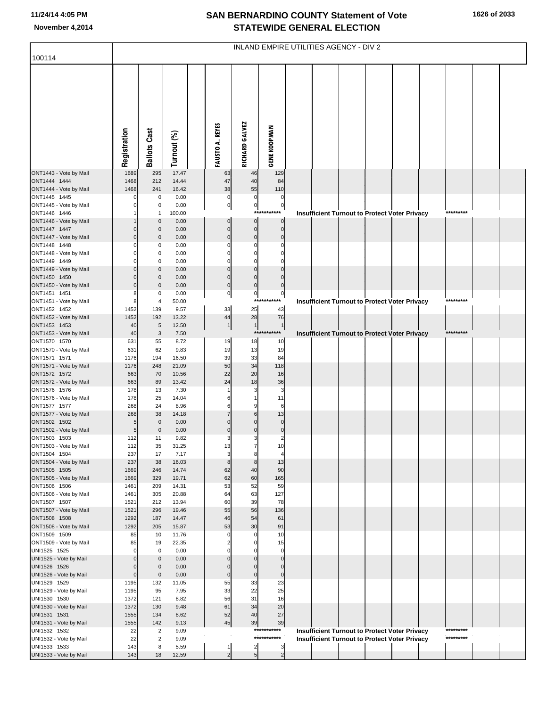## **SAN BERNARDINO COUNTY Statement of Vote November 4,2014 STATEWIDE GENERAL ELECTION**

| 100114                                 | INLAND EMPIRE UTILITIES AGENCY - DIV 2 |                            |                |  |                               |                               |                               |  |  |  |  |                                                                                                              |  |                        |  |
|----------------------------------------|----------------------------------------|----------------------------|----------------|--|-------------------------------|-------------------------------|-------------------------------|--|--|--|--|--------------------------------------------------------------------------------------------------------------|--|------------------------|--|
|                                        |                                        |                            |                |  |                               |                               |                               |  |  |  |  |                                                                                                              |  |                        |  |
|                                        |                                        |                            |                |  |                               |                               |                               |  |  |  |  |                                                                                                              |  |                        |  |
|                                        |                                        |                            |                |  |                               |                               |                               |  |  |  |  |                                                                                                              |  |                        |  |
|                                        |                                        |                            |                |  |                               |                               |                               |  |  |  |  |                                                                                                              |  |                        |  |
|                                        |                                        |                            |                |  |                               |                               |                               |  |  |  |  |                                                                                                              |  |                        |  |
|                                        |                                        |                            |                |  |                               |                               |                               |  |  |  |  |                                                                                                              |  |                        |  |
|                                        | Registration                           | <b>Ballots Cast</b>        | Turnout (%)    |  | <b>FAUSTO A. REYES</b>        | <b>RICHARD GALVEZ</b>         | <b>GENE KOOPMAN</b>           |  |  |  |  |                                                                                                              |  |                        |  |
|                                        |                                        |                            |                |  |                               |                               |                               |  |  |  |  |                                                                                                              |  |                        |  |
| ONT1443 - Vote by Mail<br>ONT1444 1444 | 1689<br>1468                           | 295<br>212                 | 17.47<br>14.44 |  | 63<br>47                      | 46<br>40                      | 129<br>84                     |  |  |  |  |                                                                                                              |  |                        |  |
| ONT1444 - Vote by Mail                 | 1468                                   | 241                        | 16.42          |  | 38                            | 55                            | 110                           |  |  |  |  |                                                                                                              |  |                        |  |
| ONT1445 1445<br>ONT1445 - Vote by Mail | $\mathbf 0$<br>$\mathbf 0$             | $\mathbf 0$<br>0           | 0.00<br>0.00   |  | $\pmb{0}$<br>$\pmb{0}$        | $\mathbf 0$<br>$\overline{0}$ | $\mathbf 0$<br>$\overline{0}$ |  |  |  |  |                                                                                                              |  |                        |  |
| ONT1446 1446                           |                                        | -1                         | 100.00         |  |                               |                               | ***********                   |  |  |  |  | <b>Insufficient Turnout to Protect Voter Privacy</b>                                                         |  | *********              |  |
| ONT1446 - Vote by Mail<br>ONT1447 1447 | $\mathbf 0$                            | $\mathbf 0$<br>$\mathbf 0$ | 0.00<br>0.00   |  | $\mathbf 0$<br>$\mathbf 0$    | $\overline{0}$<br>$\mathbf 0$ | $\mathbf 0$<br>$\mathbf 0$    |  |  |  |  |                                                                                                              |  |                        |  |
| ONT1447 - Vote by Mail                 | $\mathbf 0$                            | $\mathbf 0$                | 0.00           |  | $\mathbf 0$                   | $\mathbf 0$                   | $\mathbf 0$                   |  |  |  |  |                                                                                                              |  |                        |  |
| ONT1448 1448<br>ONT1448 - Vote by Mail | $\Omega$<br>$\mathbf 0$                | 0<br>0                     | 0.00<br>0.00   |  | $\Omega$<br>$\Omega$          | $\Omega$<br>$\mathbf 0$       | $\Omega$<br>0                 |  |  |  |  |                                                                                                              |  |                        |  |
| ONT1449 1449                           | $\Omega$                               | 0                          | 0.00           |  | $\Omega$                      | $\Omega$                      |                               |  |  |  |  |                                                                                                              |  |                        |  |
| ONT1449 - Vote by Mail<br>ONT1450 1450 | $\mathbf 0$<br>$\Omega$                | $\overline{0}$<br>$\Omega$ | 0.00<br>0.00   |  | $\mathbf 0$<br>$\mathbf 0$    | $\mathbf 0$<br>$\mathbf{0}$   | $\Omega$<br>$\Omega$          |  |  |  |  |                                                                                                              |  |                        |  |
| ONT1450 - Vote by Mail                 | $\mathbf 0$                            | $\mathbf 0$                | 0.00           |  | $\mathbf 0$                   | $\mathbf 0$                   | $\mathbf 0$                   |  |  |  |  |                                                                                                              |  |                        |  |
| ONT1451 1451<br>ONT1451 - Vote by Mail | 8<br>8                                 | $\Omega$                   | 0.00<br>50.00  |  | $\pmb{0}$                     | $\pmb{0}$                     | $\pmb{0}$<br>***********      |  |  |  |  | <b>Insufficient Turnout to Protect Voter Privacy</b>                                                         |  | *********              |  |
| ONT1452 1452                           | 1452                                   | 139                        | 9.57           |  | 33                            | 25                            | 43                            |  |  |  |  |                                                                                                              |  |                        |  |
| ONT1452 - Vote by Mail<br>ONT1453 1453 | 1452<br>40                             | 192<br>5 <sub>l</sub>      | 13.22<br>12.50 |  | 44<br>$\mathbf{1}$            | 28<br>1                       | 76<br>1                       |  |  |  |  |                                                                                                              |  |                        |  |
| ONT1453 - Vote by Mail                 | 40                                     | 3                          | 7.50           |  |                               |                               | ***********                   |  |  |  |  | Insufficient Turnout to Protect Voter Privacy                                                                |  | *********              |  |
| ONT1570 1570<br>ONT1570 - Vote by Mail | 631<br>631                             | 55<br>62                   | 8.72<br>9.83   |  | 19<br>19                      | 18<br>13                      | 10<br>19                      |  |  |  |  |                                                                                                              |  |                        |  |
| ONT1571 1571                           | 1176                                   | 194                        | 16.50          |  | 39                            | 33                            | 84                            |  |  |  |  |                                                                                                              |  |                        |  |
| ONT1571 - Vote by Mail<br>ONT1572 1572 | 1176<br>663                            | 248<br>70                  | 21.09<br>10.56 |  | 50<br>22                      | 34<br>20                      | 118<br>16                     |  |  |  |  |                                                                                                              |  |                        |  |
| ONT1572 - Vote by Mail                 | 663                                    | 89                         | 13.42          |  | 24                            | 18                            | 36                            |  |  |  |  |                                                                                                              |  |                        |  |
| ONT1576 1576<br>ONT1576 - Vote by Mail | 178<br>178                             | 13<br>25                   | 7.30<br>14.04  |  | 6                             | 3<br>-1                       | 3<br>11                       |  |  |  |  |                                                                                                              |  |                        |  |
| ONT1577 1577                           | 268                                    | 24                         | 8.96           |  | 6                             | g                             | 6                             |  |  |  |  |                                                                                                              |  |                        |  |
| ONT1577 - Vote by Mail<br>ONT1502 1502 | 268<br>5                               | 38<br>$\mathbf 0$          | 14.18<br>0.00  |  | $\overline{7}$<br>$\Omega$    | 6<br>$\Omega$                 | 13<br>$\mathbf 0$             |  |  |  |  |                                                                                                              |  |                        |  |
| ONT1502 - Vote by Mail                 | 5                                      | $\mathbf 0$                | 0.00           |  | $\mathbf 0$                   | $\mathbf 0$                   | $\mathbf 0$                   |  |  |  |  |                                                                                                              |  |                        |  |
| ONT1503 1503<br>ONT1503 - Vote by Mail | 112<br>112                             | 11<br>35                   | 9.82<br>31.25  |  | Э<br>13                       | 3                             | $\overline{2}$<br>10          |  |  |  |  |                                                                                                              |  |                        |  |
| ONT1504 1504                           | 237                                    | 17                         | 7.17           |  | 3                             | 8                             | 4                             |  |  |  |  |                                                                                                              |  |                        |  |
| ONT1504 - Vote by Mail<br>ONT1505 1505 | 237<br>1669                            | 38<br>246                  | 16.03<br>14.74 |  | 8<br>62                       | 8<br>40                       | 13<br>90                      |  |  |  |  |                                                                                                              |  |                        |  |
| ONT1505 - Vote by Mail                 | 1669                                   | 329                        | 19.71          |  | 62                            | 60                            | 165                           |  |  |  |  |                                                                                                              |  |                        |  |
| ONT1506 1506<br>ONT1506 - Vote by Mail | 1461<br>1461                           | 209<br>305                 | 14.31<br>20.88 |  | 53<br>64                      | 52<br>63                      | 59<br>127                     |  |  |  |  |                                                                                                              |  |                        |  |
| ONT1507 1507                           | 1521                                   | 212                        | 13.94          |  | 60                            | 39                            | 78                            |  |  |  |  |                                                                                                              |  |                        |  |
| ONT1507 - Vote by Mail<br>ONT1508 1508 | 1521<br>1292                           | 296<br>187                 | 19.46<br>14.47 |  | 55<br>46                      | 56<br>54                      | 136<br>61                     |  |  |  |  |                                                                                                              |  |                        |  |
| ONT1508 - Vote by Mail                 | 1292                                   | 205                        | 15.87          |  | 53                            | 30                            | 91                            |  |  |  |  |                                                                                                              |  |                        |  |
| ONT1509 1509<br>ONT1509 - Vote by Mail | 85<br>85                               | 10<br>19                   | 11.76<br>22.35 |  | $\mathbf 0$<br>$\overline{2}$ | $\mathbf 0$<br>$\Omega$       | 10<br>15                      |  |  |  |  |                                                                                                              |  |                        |  |
| UNI1525 1525                           | $\mathbf 0$                            | 0                          | 0.00           |  | $\Omega$                      | 0                             | $\mathbf 0$                   |  |  |  |  |                                                                                                              |  |                        |  |
| UNI1525 - Vote by Mail<br>UNI1526 1526 | $\mathbf 0$<br>$\mathbf 0$             | $\mathbf 0$<br>$\mathbf 0$ | 0.00<br>0.00   |  | $\Omega$<br>$\Omega$          | $\Omega$<br>$\Omega$          | $\mathbf 0$<br>$\mathbf 0$    |  |  |  |  |                                                                                                              |  |                        |  |
| UNI1526 - Vote by Mail                 | $\mathbf 0$                            | $\mathbf 0$                | 0.00           |  | $\mathbf 0$                   | $\mathbf 0$                   | $\mathbf 0$                   |  |  |  |  |                                                                                                              |  |                        |  |
| UNI1529 1529<br>UNI1529 - Vote by Mail | 1195<br>1195                           | 132<br>95                  | 11.05<br>7.95  |  | 55<br>33                      | 33<br>22                      | 23<br>25                      |  |  |  |  |                                                                                                              |  |                        |  |
| UNI1530 1530                           | 1372                                   | 121                        | 8.82           |  | 56                            | 31                            | 16                            |  |  |  |  |                                                                                                              |  |                        |  |
| UNI1530 - Vote by Mail<br>UNI1531 1531 | 1372<br>1555                           | 130<br>134                 | 9.48<br>8.62   |  | 61<br>52                      | 34<br>40                      | 20<br>27                      |  |  |  |  |                                                                                                              |  |                        |  |
| UNI1531 - Vote by Mail                 | 1555                                   | 142                        | 9.13           |  | 45                            | 39                            | 39                            |  |  |  |  |                                                                                                              |  |                        |  |
| UNI1532 1532<br>UNI1532 - Vote by Mail | 22<br>22                               |                            | 9.09<br>9.09   |  |                               |                               | ***********<br>***********    |  |  |  |  | <b>Insufficient Turnout to Protect Voter Privacy</b><br><b>Insufficient Turnout to Protect Voter Privacy</b> |  | *********<br>********* |  |
| UNI1533 1533                           | 143                                    |                            | 5.59           |  | 1                             | $\overline{2}$                | 3                             |  |  |  |  |                                                                                                              |  |                        |  |
| UNI1533 - Vote by Mail                 | 143                                    | 18                         | 12.59          |  | $\overline{2}$                | $\overline{5}$                | $\overline{2}$                |  |  |  |  |                                                                                                              |  |                        |  |